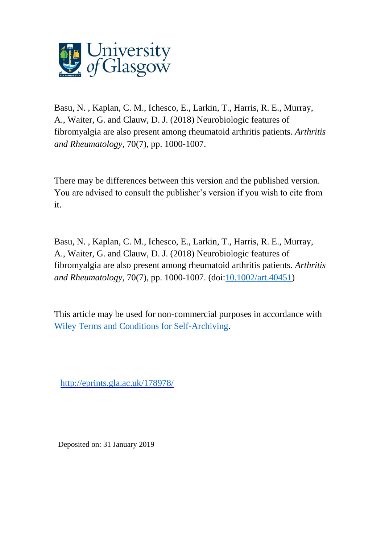

Basu, N. , Kaplan, C. M., Ichesco, E., Larkin, T., Harris, R. E., Murray, A., Waiter, G. and Clauw, D. J. (2018) Neurobiologic features of fibromyalgia are also present among rheumatoid arthritis patients. *Arthritis and Rheumatology*, 70(7), pp. 1000-1007.

There may be differences between this version and the published version. You are advised to consult the publisher's version if you wish to cite from it.

Basu, N. , Kaplan, C. M., Ichesco, E., Larkin, T., Harris, R. E., Murray, A., Waiter, G. and Clauw, D. J. (2018) Neurobiologic features of fibromyalgia are also present among rheumatoid arthritis patients. *Arthritis and Rheumatology*, 70(7), pp. 1000-1007. (doi[:10.1002/art.40451\)](http://dx.doi.org/10.1002/art.40451)

This article may be used for non-commercial purposes in accordance with [Wiley Terms and Conditions for Self-Archiving.](http://olabout.wiley.com/WileyCDA/Section/id-828039.html#terms)

<http://eprints.gla.ac.uk/178978/>

Deposited on: 31 January 2019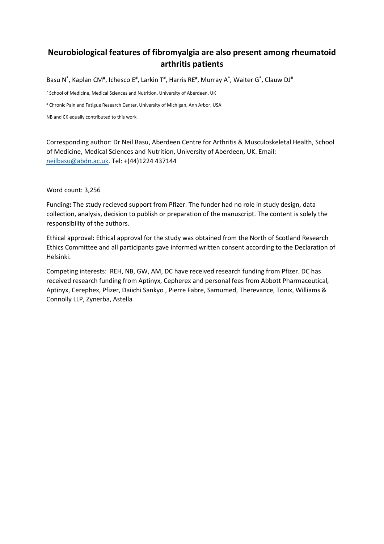# **Neurobiological features of fibromyalgia are also present among rheumatoid arthritis patients**

Basu N<sup>\*</sup>, Kaplan CM<sup>#</sup>, Ichesco E<sup>#</sup>, Larkin T<sup>#</sup>, Harris RE<sup>#</sup>, Murray A<sup>\*</sup>, Waiter G<sup>\*</sup>, Clauw DJ<sup>#</sup>

\* School of Medicine, Medical Sciences and Nutrition, University of Aberdeen, UK

# Chronic Pain and Fatigue Research Center, University of Michigan, Ann Arbor, USA

NB and CK equally contributed to this work

Corresponding author: Dr Neil Basu, Aberdeen Centre for Arthritis & Musculoskeletal Health, School of Medicine, Medical Sciences and Nutrition, University of Aberdeen, UK. Email: [neilbasu@abdn.ac.uk.](mailto:neilbasu@abdn.ac.uk) Tel: +(44)1224 437144

Word count: 3,256

Funding**:** The study recieved support from Pfizer. The funder had no role in study design, data collection, analysis, decision to publish or preparation of the manuscript. The content is solely the responsibility of the authors.

Ethical approval**:** Ethical approval for the study was obtained from the North of Scotland Research Ethics Committee and all participants gave informed written consent according to the Declaration of Helsinki.

Competing interests: REH, NB, GW, AM, DC have received research funding from Pfizer. DC has received research funding from Aptinyx, Cepherex and personal fees from Abbott Pharmaceutical, Aptinyx, Cerephex, Pfizer, Daiichi Sankyo , Pierre Fabre, Samumed, Therevance, Tonix, Williams & Connolly LLP, Zynerba, Astella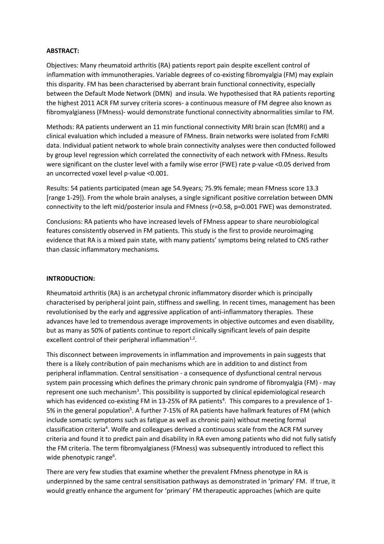## **ABSTRACT:**

Objectives: Many rheumatoid arthritis (RA) patients report pain despite excellent control of inflammation with immunotherapies. Variable degrees of co-existing fibromyalgia (FM) may explain this disparity. FM has been characterised by aberrant brain functional connectivity, especially between the Default Mode Network (DMN) and insula. We hypothesised that RA patients reporting the highest 2011 ACR FM survey criteria scores- a continuous measure of FM degree also known as fibromyalgianess (FMness)- would demonstrate functional connectivity abnormalities similar to FM.

Methods: RA patients underwent an 11 min functional connectivity MRI brain scan (fcMRI) and a clinical evaluation which included a measure of FMness. Brain networks were isolated from FcMRI data. Individual patient network to whole brain connectivity analyses were then conducted followed by group level regression which correlated the connectivity of each network with FMness. Results were significant on the cluster level with a family wise error (FWE) rate p-value <0.05 derived from an uncorrected voxel level p-value <0.001.

Results: 54 patients participated (mean age 54.9years; 75.9% female; mean FMness score 13.3 [range 1-29]). From the whole brain analyses, a single significant positive correlation between DMN connectivity to the left mid/posterior insula and FMness (r=0.58, p=0.001 FWE) was demonstrated.

Conclusions: RA patients who have increased levels of FMness appear to share neurobiological features consistently observed in FM patients. This study is the first to provide neuroimaging evidence that RA is a mixed pain state, with many patients' symptoms being related to CNS rather than classic inflammatory mechanisms.

## **INTRODUCTION:**

Rheumatoid arthritis (RA) is an archetypal chronic inflammatory disorder which is principally characterised by peripheral joint pain, stiffness and swelling. In recent times, management has been revolutionised by the early and aggressive application of anti-inflammatory therapies. These advances have led to tremendous average improvements in objective outcomes and even disability, but as many as 50% of patients continue to report clinically significant levels of pain despite excellent control of their peripheral inflammation $1.2$ .

This disconnect between improvements in inflammation and improvements in pain suggests that there is a likely contribution of pain mechanisms which are in addition to and distinct from peripheral inflammation. Central sensitisation - a consequence of dysfunctional central nervous system pain processing which defines the primary chronic pain syndrome of fibromyalgia (FM) - may represent one such mechanism<sup>3</sup>. This possibility is supported by clinical epidemiological research which has evidenced co-existing FM in 13-25% of RA patients<sup>4</sup>. This compares to a prevalence of 1-5% in the general population<sup>5</sup>. A further 7-15% of RA patients have hallmark features of FM (which include somatic symptoms such as fatigue as well as chronic pain) without meeting formal classification criteria<sup>4</sup>. Wolfe and colleagues derived a continuous scale from the ACR FM survey criteria and found it to predict pain and disability in RA even among patients who did not fully satisfy the FM criteria. The term fibromyalgianess (FMness) was subsequently introduced to reflect this wide phenotypic range<sup>6</sup>.

There are very few studies that examine whether the prevalent FMness phenotype in RA is underpinned by the same central sensitisation pathways as demonstrated in 'primary' FM. If true, it would greatly enhance the argument for 'primary' FM therapeutic approaches (which are quite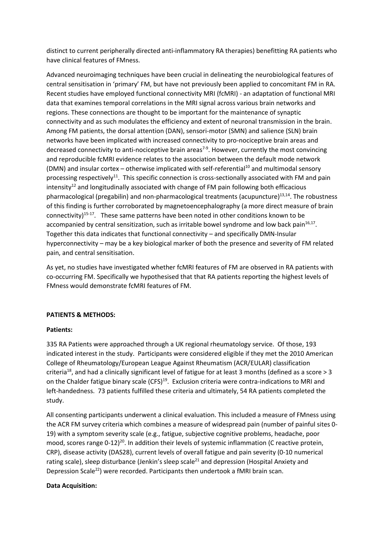distinct to current peripherally directed anti-inflammatory RA therapies) benefitting RA patients who have clinical features of FMness.

Advanced neuroimaging techniques have been crucial in delineating the neurobiological features of central sensitisation in 'primary' FM, but have not previously been applied to concomitant FM in RA. Recent studies have employed functional connectivity MRI (fcMRI) - an adaptation of functional MRI data that examines temporal correlations in the MRI signal across various brain networks and regions. These connections are thought to be important for the maintenance of synaptic connectivity and as such modulates the efficiency and extent of neuronal transmission in the brain. Among FM patients, the dorsal attention (DAN), sensori-motor (SMN) and salience (SLN) brain networks have been implicated with increased connectivity to pro-nociceptive brain areas and decreased connectivity to anti-nociceptive brain areas<sup>7-9</sup>. However, currently the most convincing and reproducible fcMRI evidence relates to the association between the default mode network (DMN) and insular cortex – otherwise implicated with self-referential<sup>10</sup> and multimodal sensory processing respectively<sup>11</sup>. This specific connection is cross-sectionally associated with FM and pain  $intensity<sup>12</sup>$  and longitudinally associated with change of FM pain following both efficacious pharmacological (pregabilin) and non-pharmacological treatments (acupuncture) $13,14$ . The robustness of this finding is further corroborated by magnetoencephalography (a more direct measure of brain connectivity)<sup>15-17</sup>. These same patterns have been noted in other conditions known to be accompanied by central sensitization, such as irritable bowel syndrome and low back pain $16,17$ . Together this data indicates that functional connectivity – and specifically DMN-Insular hyperconnectivity – may be a key biological marker of both the presence and severity of FM related pain, and central sensitisation.

As yet, no studies have investigated whether fcMRI features of FM are observed in RA patients with co-occurring FM. Specifically we hypothesised that that RA patients reporting the highest levels of FMness would demonstrate fcMRI features of FM.

## **PATIENTS & METHODS:**

## **Patients:**

335 RA Patients were approached through a UK regional rheumatology service. Of those, 193 indicated interest in the study. Participants were considered eligible if they met the 2010 American College of Rheumatology/European League Against Rheumatism (ACR/EULAR) classification criteria<sup>18</sup>, and had a clinically significant level of fatigue for at least 3 months (defined as a score  $> 3$ on the Chalder fatigue binary scale (CFS)<sup>19</sup>. Exclusion criteria were contra-indications to MRI and left-handedness. 73 patients fulfilled these criteria and ultimately, 54 RA patients completed the study.

All consenting participants underwent a clinical evaluation. This included a measure of FMness using the ACR FM survey criteria which combines a measure of widespread pain (number of painful sites 0- 19) with a symptom severity scale (e.g., fatigue, subjective cognitive problems, headache, poor mood, scores range 0-12)<sup>20</sup>. In addition their levels of systemic inflammation (C reactive protein, CRP), disease activity (DAS28), current levels of overall fatigue and pain severity (0-10 numerical rating scale), sleep disturbance (Jenkin's sleep scale<sup>21</sup> and depression (Hospital Anxiety and Depression Scale<sup>22</sup>) were recorded. Participants then undertook a fMRI brain scan.

## **Data Acquisition:**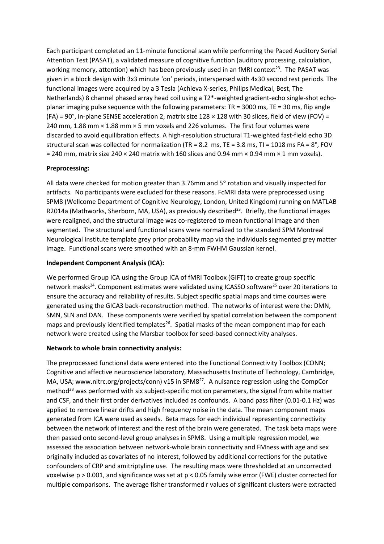Each participant completed an 11-minute functional scan while performing the Paced Auditory Serial Attention Test (PASAT), a validated measure of cognitive function (auditory processing, calculation, working memory, attention) which has been previously used in an fMRI context<sup>23</sup>. The PASAT was given in a block design with 3x3 minute 'on' periods, interspersed with 4x30 second rest periods. The functional images were acquired by a 3 Tesla (Achieva X-series, Philips Medical, Best, The Netherlands) 8 channel phased array head coil using a T2\*-weighted gradient-echo single-shot echoplanar imaging pulse sequence with the following parameters: TR = 3000 ms, TE = 30 ms, flip angle (FA) =  $90^{\circ}$ , in-plane SENSE acceleration 2, matrix size  $128 \times 128$  with 30 slices, field of view (FOV) = 240 mm, 1.88 mm × 1.88 mm × 5 mm voxels and 226 volumes. The first four volumes were discarded to avoid equilibration effects. A high-resolution structural T1-weighted fast-field echo 3D structural scan was collected for normalization (TR = 8.2 ms, TE = 3.8 ms, TI = 1018 ms FA =  $8^{\circ}$ , FOV  $= 240$  mm, matrix size 240  $\times$  240 matrix with 160 slices and 0.94 mm  $\times$  0.94 mm  $\times$  1 mm voxels).

# **Preprocessing:**

All data were checked for motion greater than 3.76mm and 5° rotation and visually inspected for artifacts. No participants were excluded for these reasons. FcMRI data were preprocessed using SPM8 (Wellcome Department of Cognitive Neurology, London, United Kingdom) running on MATLAB R2014a (Mathworks, Sherborn, MA, USA), as previously described<sup>23</sup>. Briefly, the functional images were realigned, and the structural image was co-registered to mean functional image and then segmented. The structural and functional scans were normalized to the standard SPM Montreal Neurological Institute template grey prior probability map via the individuals segmented grey matter image. Functional scans were smoothed with an 8-mm FWHM Gaussian kernel.

# **Independent Component Analysis (ICA):**

We performed Group ICA using the Group ICA of fMRI Toolbox (GIFT) to create group specific network masks<sup>24</sup>. Component estimates were validated using ICASSO software<sup>25</sup> over 20 iterations to ensure the accuracy and reliability of results. Subject specific spatial maps and time courses were generated using the GICA3 back-reconstruction method. The networks of interest were the: DMN, SMN, SLN and DAN. These components were verified by spatial correlation between the component maps and previously identified templates<sup>26</sup>. Spatial masks of the mean component map for each network were created using the Marsbar toolbox for seed-based connectivity analyses.

## **Network to whole brain connectivity analysis:**

The preprocessed functional data were entered into the Functional Connectivity Toolbox (CONN; Cognitive and affective neuroscience laboratory, Massachusetts Institute of Technology, Cambridge, MA, USA; www.nitrc.org/projects/conn) v15 in SPM8<sup>27</sup>. A nuisance regression using the CompCor method<sup>28</sup> was performed with six subject-specific motion parameters, the signal from white matter and CSF, and their first order derivatives included as confounds. A band pass filter (0.01-0.1 Hz) was applied to remove linear drifts and high frequency noise in the data. The mean component maps generated from ICA were used as seeds. Beta maps for each individual representing connectivity between the network of interest and the rest of the brain were generated. The task beta maps were then passed onto second-level group analyses in SPM8. Using a multiple regression model, we assessed the association between network-whole brain connectivity and FMness with age and sex originally included as covariates of no interest, followed by additional corrections for the putative confounders of CRP and amitriptyline use. The resulting maps were thresholded at an uncorrected voxelwise  $p > 0.001$ , and significance was set at  $p < 0.05$  family wise error (FWE) cluster corrected for multiple comparisons. The average fisher transformed r values of significant clusters were extracted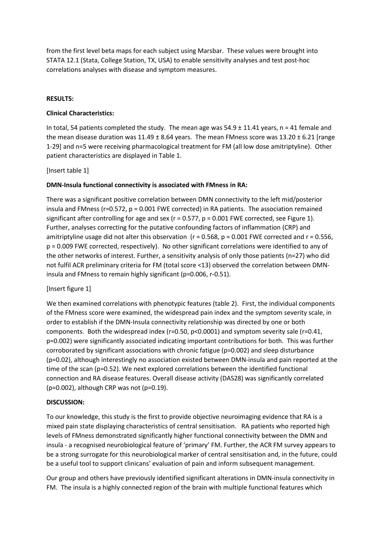from the first level beta maps for each subject using Marsbar. These values were brought into STATA 12.1 (Stata, College Station, TX, USA) to enable sensitivity analyses and test post-hoc correlations analyses with disease and symptom measures.

# **RESULTS:**

# **Clinical Characteristics:**

In total, 54 patients completed the study. The mean age was  $54.9 \pm 11.41$  years, n = 41 female and the mean disease duration was  $11.49 \pm 8.64$  years. The mean FMness score was  $13.20 \pm 6.21$  [range 1-29] and n=5 were receiving pharmacological treatment for FM (all low dose amitriptyline). Other patient characteristics are displayed in Table 1.

[Insert table 1]

# **DMN-Insula functional connectivity is associated with FMness in RA:**

There was a significant positive correlation between DMN connectivity to the left mid/posterior insula and FMness (r=0.572, p = 0.001 FWE corrected) in RA patients. The association remained significant after controlling for age and sex ( $r = 0.577$ ,  $p = 0.001$  FWE corrected, see Figure 1). Further, analyses correcting for the putative confounding factors of inflammation (CRP) and amitriptyline usage did not alter this observation ( $r = 0.568$ ,  $p = 0.001$  FWE corrected and  $r = 0.556$ , p = 0.009 FWE corrected, respectively). No other significant correlations were identified to any of the other networks of interest. Further, a sensitivity analysis of only those patients (n=27) who did not fulfil ACR preliminary criteria for FM (total score <13) observed the correlation between DMNinsula and FMness to remain highly significant (p=0.006, r-0.51).

# [Insert figure 1]

We then examined correlations with phenotypic features (table 2). First, the individual components of the FMness score were examined, the widespread pain index and the symptom severity scale, in order to establish if the DMN-Insula connectivity relationship was directed by one or both components. Both the widespread index (r=0.50, p<0.0001) and symptom severity sale (r=0.41, p=0.002) were significantly associated indicating important contributions for both. This was further corroborated by significant associations with chronic fatigue (p=0.002) and sleep disturbance (p=0.02), although interestingly no association existed between DMN-insula and pain reported at the time of the scan (p=0.52). We next explored correlations between the identified functional connection and RA disease features. Overall disease activity (DAS28) was significantly correlated  $(p=0.002)$ , although CRP was not  $(p=0.19)$ .

## **DISCUSSION:**

To our knowledge, this study is the first to provide objective neuroimaging evidence that RA is a mixed pain state displaying characteristics of central sensitisation. RA patients who reported high levels of FMness demonstrated significantly higher functional connectivity between the DMN and insula - a recognised neurobiological feature of 'primary' FM. Further, the ACR FM survey appears to be a strong surrogate for this neurobiological marker of central sensitisation and, in the future, could be a useful tool to support clinicans' evaluation of pain and inform subsequent management.

Our group and others have previously identified significant alterations in DMN-insula connectivity in FM. The insula is a highly connected region of the brain with multiple functional features which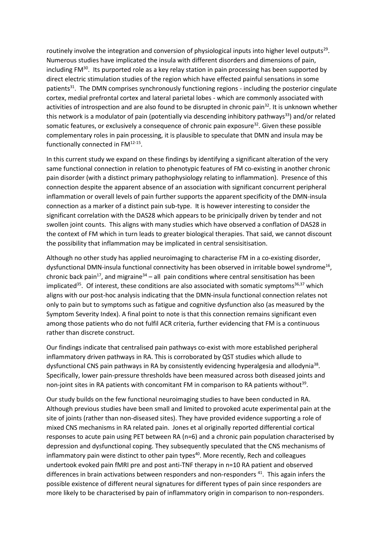routinely involve the integration and conversion of physiological inputs into higher level outputs<sup>29</sup>. Numerous studies have implicated the insula with different disorders and dimensions of pain, including FM<sup>30</sup>. Its purported role as a key relay station in pain processing has been supported by direct electric stimulation studies of the region which have effected painful sensations in some patients<sup>31</sup>. The DMN comprises synchronously functioning regions - including the posterior cingulate cortex, medial prefrontal cortex and lateral parietal lobes - which are commonly associated with activities of introspection and are also found to be disrupted in chronic pain<sup>32</sup>. It is unknown whether this network is a modulator of pain (potentially via descending inhibitory pathways<sup>33</sup>) and/or related somatic features, or exclusively a consequence of chronic pain exposure<sup>32</sup>. Given these possible complementary roles in pain processing, it is plausible to speculate that DMN and insula may be functionally connected in FM<sup>12-15</sup>.

In this current study we expand on these findings by identifying a significant alteration of the very same functional connection in relation to phenotypic features of FM co-existing in another chronic pain disorder (with a distinct primary pathophysiology relating to inflammation). Presence of this connection despite the apparent absence of an association with significant concurrent peripheral inflammation or overall levels of pain further supports the apparent specificity of the DMN-insula connection as a marker of a distinct pain sub-type. It is however interesting to consider the significant correlation with the DAS28 which appears to be prinicipally driven by tender and not swollen joint counts. This aligns with many studies which have observed a conflation of DAS28 in the context of FM which in turn leads to greater biological therapies. That said, we cannot discount the possibility that inflammation may be implicated in central sensisitisation.

Although no other study has applied neuroimaging to characterise FM in a co-existing disorder, dysfunctional DMN-insula functional connectivity has been observed in irritable bowel syndrome<sup>16</sup>, chronic back pain<sup>17</sup>, and migraine<sup>34</sup> – all pain conditions where central sensitisation has been implicated<sup>35</sup>. Of interest, these conditions are also associated with somatic symptoms<sup>36,37</sup> which aligns with our post-hoc analysis indicating that the DMN-insula functional connection relates not only to pain but to symptoms such as fatigue and cognitive dysfunction also (as measured by the Symptom Severity Index). A final point to note is that this connection remains significant even among those patients who do not fulfil ACR criteria, further evidencing that FM is a continuous rather than discrete construct.

Our findings indicate that centralised pain pathways co-exist with more established peripheral inflammatory driven pathways in RA. This is corroborated by QST studies which allude to dysfunctional CNS pain pathways in RA by consistently evidencing hyperalgesia and allodynia<sup>38</sup>. Specifically, lower pain-pressure thresholds have been measured across both diseased joints and non-joint sites in RA patients with concomitant FM in comparison to RA patients without<sup>39</sup>.

Our study builds on the few functional neuroimaging studies to have been conducted in RA. Although previous studies have been small and limited to provoked acute experimental pain at the site of joints (rather than non-diseased sites). They have provided evidence supporting a role of mixed CNS mechanisms in RA related pain. Jones et al originally reported differential cortical responses to acute pain using PET between RA (n=6) and a chronic pain population characterised by depression and dysfunctional coping. They subsequently speculated that the CNS mechanisms of inflammatory pain were distinct to other pain types<sup>40</sup>. More recently, Rech and colleagues undertook evoked pain fMRI pre and post anti-TNF therapy in n=10 RA patient and observed differences in brain activations between responders and non-responders<sup>41</sup>. This again infers the possible existence of different neural signatures for different types of pain since responders are more likely to be characterised by pain of inflammatory origin in comparison to non-responders.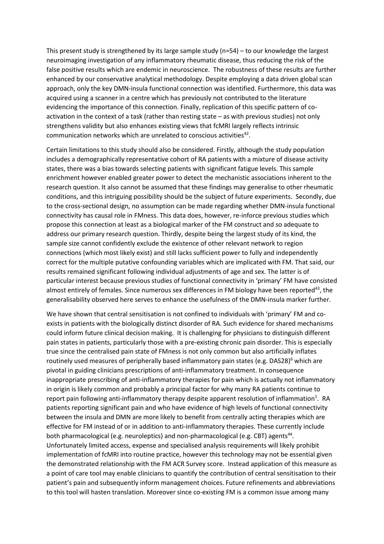This present study is strengthened by its large sample study (n=54) – to our knowledge the largest neuroimaging investigation of any inflammatory rheumatic disease, thus reducing the risk of the false positive results which are endemic in neuroscience. The robustness of these results are further enhanced by our conservative analytical methodology. Despite employing a data driven global scan approach, only the key DMN-insula functional connection was identified. Furthermore, this data was acquired using a scanner in a centre which has previously not contributed to the literature evidencing the importance of this connection. Finally, replication of this specific pattern of coactivation in the context of a task (rather than resting state – as with previous studies) not only strengthens validity but also enhances existing views that fcMRI largely reflects intrinsic communication networks which are unrelated to conscious activities $42$ .

Certain limitations to this study should also be considered. Firstly, although the study population includes a demographically representative cohort of RA patients with a mixture of disease activity states, there was a bias towards selecting patients with significant fatigue levels. This sample enrichment however enabled greater power to detect the mechanistic associations inherent to the research question. It also cannot be assumed that these findings may generalise to other rheumatic conditions, and this intriguing possibility should be the subject of future experiments. Secondly, due to the cross-sectional design, no assumption can be made regarding whether DMN-insula functional connectivity has causal role in FMness. This data does, however, re-inforce previous studies which propose this connection at least as a biological marker of the FM construct and so adequate to address our primary research question. Thirdly, despite being the largest study of its kind, the sample size cannot confidently exclude the existence of other relevant network to region connections (which most likely exist) and still lacks sufficient power to fully and independently correct for the multiple putative confounding variables which are implicated with FM. That said, our results remained significant following individual adjustments of age and sex. The latter is of particular interest because previous studies of functional connectivity in 'primary' FM have consisted almost entirely of females. Since numerous sex differences in FM biology have been reported<sup>43</sup>, the generalisability observed here serves to enhance the usefulness of the DMN-insula marker further.

We have shown that central sensitisation is not confined to individuals with 'primary' FM and coexists in patients with the biologically distinct disorder of RA. Such evidence for shared mechanisms could inform future clinical decision making. It is challenging for physicians to distinguish different pain states in patients, particularly those with a pre-existing chronic pain disorder. This is especially true since the centralised pain state of FMness is not only common but also artificially inflates routinely used measures of peripherally based inflammatory pain states (e.g. DAS28)<sup>6</sup> which are pivotal in guiding clinicians prescriptions of anti-inflammatory treatment. In consequence inappropriate prescribing of anti-inflammatory therapies for pain which is actually not inflammatory in origin is likely common and probably a principal factor for why many RA patients continue to report pain following anti-inflammatory therapy despite apparent resolution of inflammation<sup>1</sup>. RA patients reporting significant pain and who have evidence of high levels of functional connectivity between the insula and DMN are more likely to benefit from centrally acting therapies which are effective for FM instead of or in addition to anti-inflammatory therapies. These currently include both pharmacological (e.g. neuroleptics) and non-pharmacological (e.g. CBT) agents<sup>44</sup>. Unfortunately limited access, expense and specialised analysis requirements will likely prohibit implementation of fcMRI into routine practice, however this technology may not be essential given the demonstrated relationship with the FM ACR Survey score. Instead application of this measure as a point of care tool may enable clinicians to quantify the contribution of central sensitisation to their patient's pain and subsequently inform management choices. Future refinements and abbreviations to this tool will hasten translation. Moreover since co-existing FM is a common issue among many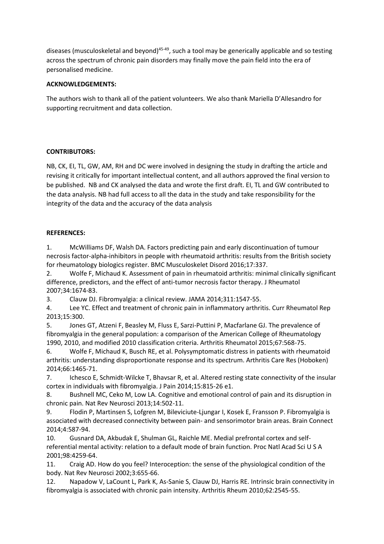diseases (musculoskeletal and beyond)<sup>45-49</sup>, such a tool may be generically applicable and so testing across the spectrum of chronic pain disorders may finally move the pain field into the era of personalised medicine.

# **ACKNOWLEDGEMENTS:**

The authors wish to thank all of the patient volunteers. We also thank Mariella D'Allesandro for supporting recruitment and data collection.

# **CONTRIBUTORS:**

NB, CK, EI, TL, GW, AM, RH and DC were involved in designing the study in drafting the article and revising it critically for important intellectual content, and all authors approved the final version to be published. NB and CK analysed the data and wrote the first draft. EI, TL and GW contributed to the data analysis. NB had full access to all the data in the study and take responsibility for the integrity of the data and the accuracy of the data analysis

# **REFERENCES:**

1. McWilliams DF, Walsh DA. Factors predicting pain and early discontinuation of tumour necrosis factor-alpha-inhibitors in people with rheumatoid arthritis: results from the British society for rheumatology biologics register. BMC Musculoskelet Disord 2016;17:337.

2. Wolfe F, Michaud K. Assessment of pain in rheumatoid arthritis: minimal clinically significant difference, predictors, and the effect of anti-tumor necrosis factor therapy. J Rheumatol 2007;34:1674-83.

3. Clauw DJ. Fibromyalgia: a clinical review. JAMA 2014;311:1547-55.

4. Lee YC. Effect and treatment of chronic pain in inflammatory arthritis. Curr Rheumatol Rep 2013;15:300.

5. Jones GT, Atzeni F, Beasley M, Fluss E, Sarzi-Puttini P, Macfarlane GJ. The prevalence of fibromyalgia in the general population: a comparison of the American College of Rheumatology 1990, 2010, and modified 2010 classification criteria. Arthritis Rheumatol 2015;67:568-75.

6. Wolfe F, Michaud K, Busch RE, et al. Polysymptomatic distress in patients with rheumatoid arthritis: understanding disproportionate response and its spectrum. Arthritis Care Res (Hoboken) 2014;66:1465-71.

7. Ichesco E, Schmidt-Wilcke T, Bhavsar R, et al. Altered resting state connectivity of the insular cortex in individuals with fibromyalgia. J Pain 2014;15:815-26 e1.

8. Bushnell MC, Ceko M, Low LA. Cognitive and emotional control of pain and its disruption in chronic pain. Nat Rev Neurosci 2013;14:502-11.

9. Flodin P, Martinsen S, Lofgren M, Bileviciute-Ljungar I, Kosek E, Fransson P. Fibromyalgia is associated with decreased connectivity between pain- and sensorimotor brain areas. Brain Connect 2014;4:587-94.

10. Gusnard DA, Akbudak E, Shulman GL, Raichle ME. Medial prefrontal cortex and selfreferential mental activity: relation to a default mode of brain function. Proc Natl Acad Sci U S A 2001;98:4259-64.

11. Craig AD. How do you feel? Interoception: the sense of the physiological condition of the body. Nat Rev Neurosci 2002;3:655-66.

12. Napadow V, LaCount L, Park K, As-Sanie S, Clauw DJ, Harris RE. Intrinsic brain connectivity in fibromyalgia is associated with chronic pain intensity. Arthritis Rheum 2010;62:2545-55.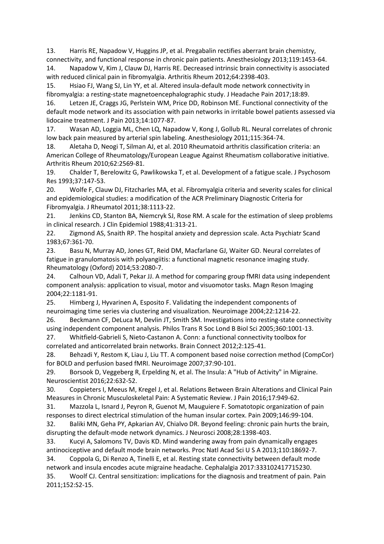13. Harris RE, Napadow V, Huggins JP, et al. Pregabalin rectifies aberrant brain chemistry, connectivity, and functional response in chronic pain patients. Anesthesiology 2013;119:1453-64.

14. Napadow V, Kim J, Clauw DJ, Harris RE. Decreased intrinsic brain connectivity is associated with reduced clinical pain in fibromyalgia. Arthritis Rheum 2012;64:2398-403.

15. Hsiao FJ, Wang SJ, Lin YY, et al. Altered insula-default mode network connectivity in fibromyalgia: a resting-state magnetoencephalographic study. J Headache Pain 2017;18:89.

16. Letzen JE, Craggs JG, Perlstein WM, Price DD, Robinson ME. Functional connectivity of the default mode network and its association with pain networks in irritable bowel patients assessed via lidocaine treatment. J Pain 2013;14:1077-87.

17. Wasan AD, Loggia ML, Chen LQ, Napadow V, Kong J, Gollub RL. Neural correlates of chronic low back pain measured by arterial spin labeling. Anesthesiology 2011;115:364-74.

18. Aletaha D, Neogi T, Silman AJ, et al. 2010 Rheumatoid arthritis classification criteria: an American College of Rheumatology/European League Against Rheumatism collaborative initiative. Arthritis Rheum 2010;62:2569-81.

19. Chalder T, Berelowitz G, Pawlikowska T, et al. Development of a fatigue scale. J Psychosom Res 1993;37:147-53.

20. Wolfe F, Clauw DJ, Fitzcharles MA, et al. Fibromyalgia criteria and severity scales for clinical and epidemiological studies: a modification of the ACR Preliminary Diagnostic Criteria for Fibromyalgia. J Rheumatol 2011;38:1113-22.

21. Jenkins CD, Stanton BA, Niemcryk SJ, Rose RM. A scale for the estimation of sleep problems in clinical research. J Clin Epidemiol 1988;41:313-21.

22. Zigmond AS, Snaith RP. The hospital anxiety and depression scale. Acta Psychiatr Scand 1983;67:361-70.

23. Basu N, Murray AD, Jones GT, Reid DM, Macfarlane GJ, Waiter GD. Neural correlates of fatigue in granulomatosis with polyangiitis: a functional magnetic resonance imaging study. Rheumatology (Oxford) 2014;53:2080-7.

24. Calhoun VD, Adali T, Pekar JJ. A method for comparing group fMRI data using independent component analysis: application to visual, motor and visuomotor tasks. Magn Reson Imaging 2004;22:1181-91.

25. Himberg J, Hyvarinen A, Esposito F. Validating the independent components of neuroimaging time series via clustering and visualization. Neuroimage 2004;22:1214-22.

26. Beckmann CF, DeLuca M, Devlin JT, Smith SM. Investigations into resting-state connectivity using independent component analysis. Philos Trans R Soc Lond B Biol Sci 2005;360:1001-13.

27. Whitfield-Gabrieli S, Nieto-Castanon A. Conn: a functional connectivity toolbox for correlated and anticorrelated brain networks. Brain Connect 2012;2:125-41.

28. Behzadi Y, Restom K, Liau J, Liu TT. A component based noise correction method (CompCor) for BOLD and perfusion based fMRI. Neuroimage 2007;37:90-101.

29. Borsook D, Veggeberg R, Erpelding N, et al. The Insula: A "Hub of Activity" in Migraine. Neuroscientist 2016;22:632-52.

30. Coppieters I, Meeus M, Kregel J, et al. Relations Between Brain Alterations and Clinical Pain Measures in Chronic Musculoskeletal Pain: A Systematic Review. J Pain 2016;17:949-62.

31. Mazzola L, Isnard J, Peyron R, Guenot M, Mauguiere F. Somatotopic organization of pain responses to direct electrical stimulation of the human insular cortex. Pain 2009;146:99-104.

32. Baliki MN, Geha PY, Apkarian AV, Chialvo DR. Beyond feeling: chronic pain hurts the brain, disrupting the default-mode network dynamics. J Neurosci 2008;28:1398-403.

33. Kucyi A, Salomons TV, Davis KD. Mind wandering away from pain dynamically engages antinociceptive and default mode brain networks. Proc Natl Acad Sci U S A 2013;110:18692-7.

34. Coppola G, Di Renzo A, Tinelli E, et al. Resting state connectivity between default mode network and insula encodes acute migraine headache. Cephalalgia 2017:333102417715230. 35. Woolf CJ. Central sensitization: implications for the diagnosis and treatment of pain. Pain

2011;152:S2-15.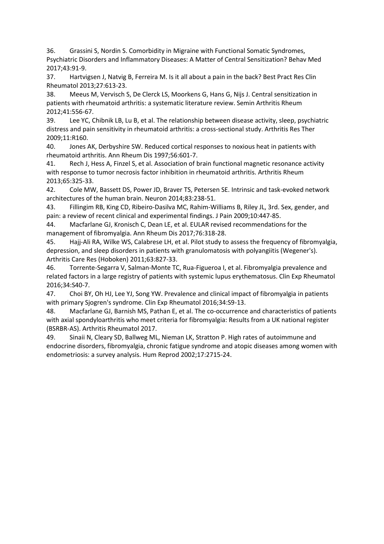36. Grassini S, Nordin S. Comorbidity in Migraine with Functional Somatic Syndromes, Psychiatric Disorders and Inflammatory Diseases: A Matter of Central Sensitization? Behav Med 2017;43:91-9.

37. Hartvigsen J, Natvig B, Ferreira M. Is it all about a pain in the back? Best Pract Res Clin Rheumatol 2013;27:613-23.

38. Meeus M, Vervisch S, De Clerck LS, Moorkens G, Hans G, Nijs J. Central sensitization in patients with rheumatoid arthritis: a systematic literature review. Semin Arthritis Rheum 2012;41:556-67.

39. Lee YC, Chibnik LB, Lu B, et al. The relationship between disease activity, sleep, psychiatric distress and pain sensitivity in rheumatoid arthritis: a cross-sectional study. Arthritis Res Ther 2009;11:R160.

40. Jones AK, Derbyshire SW. Reduced cortical responses to noxious heat in patients with rheumatoid arthritis. Ann Rheum Dis 1997;56:601-7.

41. Rech J, Hess A, Finzel S, et al. Association of brain functional magnetic resonance activity with response to tumor necrosis factor inhibition in rheumatoid arthritis. Arthritis Rheum 2013;65:325-33.

42. Cole MW, Bassett DS, Power JD, Braver TS, Petersen SE. Intrinsic and task-evoked network architectures of the human brain. Neuron 2014;83:238-51.

43. Fillingim RB, King CD, Ribeiro-Dasilva MC, Rahim-Williams B, Riley JL, 3rd. Sex, gender, and pain: a review of recent clinical and experimental findings. J Pain 2009;10:447-85.

44. Macfarlane GJ, Kronisch C, Dean LE, et al. EULAR revised recommendations for the management of fibromyalgia. Ann Rheum Dis 2017;76:318-28.

45. Hajj-Ali RA, Wilke WS, Calabrese LH, et al. Pilot study to assess the frequency of fibromyalgia, depression, and sleep disorders in patients with granulomatosis with polyangiitis (Wegener's). Arthritis Care Res (Hoboken) 2011;63:827-33.

46. Torrente-Segarra V, Salman-Monte TC, Rua-Figueroa I, et al. Fibromyalgia prevalence and related factors in a large registry of patients with systemic lupus erythematosus. Clin Exp Rheumatol 2016;34:S40-7.

47. Choi BY, Oh HJ, Lee YJ, Song YW. Prevalence and clinical impact of fibromyalgia in patients with primary Sjogren's syndrome. Clin Exp Rheumatol 2016;34:S9-13.

48. Macfarlane GJ, Barnish MS, Pathan E, et al. The co-occurrence and characteristics of patients with axial spondyloarthritis who meet criteria for fibromyalgia: Results from a UK national register (BSRBR-AS). Arthritis Rheumatol 2017.

49. Sinaii N, Cleary SD, Ballweg ML, Nieman LK, Stratton P. High rates of autoimmune and endocrine disorders, fibromyalgia, chronic fatigue syndrome and atopic diseases among women with endometriosis: a survey analysis. Hum Reprod 2002;17:2715-24.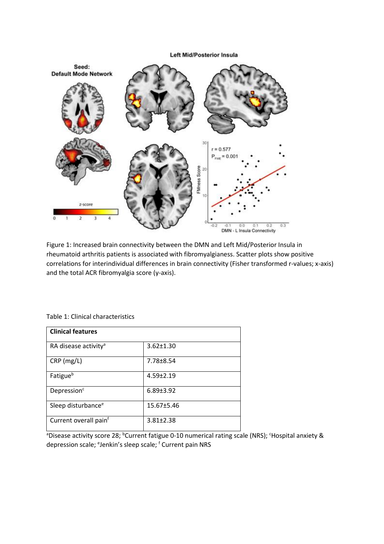**Left Mid/Posterior Insula** 



Figure 1: Increased brain connectivity between the DMN and Left Mid/Posterior Insula in rheumatoid arthritis patients is associated with fibromyalgianess. Scatter plots show positive correlations for interindividual differences in brain connectivity (Fisher transformed r-values; x-axis) and the total ACR fibromyalgia score (y-axis).

| <b>Clinical features</b>          |                 |  |
|-----------------------------------|-----------------|--|
| RA disease activity <sup>a</sup>  | $3.62 \pm 1.30$ |  |
| $CRP$ (mg/L)                      | $7.78 \pm 8.54$ |  |
| Fatigue <sup>b</sup>              | $4.59 \pm 2.19$ |  |
| Depression <sup>c</sup>           | $6.89 \pm 3.92$ |  |
| Sleep disturbance <sup>e</sup>    | 15.67±5.46      |  |
| Current overall pain <sup>f</sup> | $3.81 \pm 2.38$ |  |

Table 1: Clinical characteristics

aDisease activity score 28; <sup>b</sup>Current fatigue 0-10 numerical rating scale (NRS); <sup>c</sup>Hospital anxiety & depression scale; <sup>e</sup>Jenkin's sleep scale; <sup>f</sup> Current pain NRS